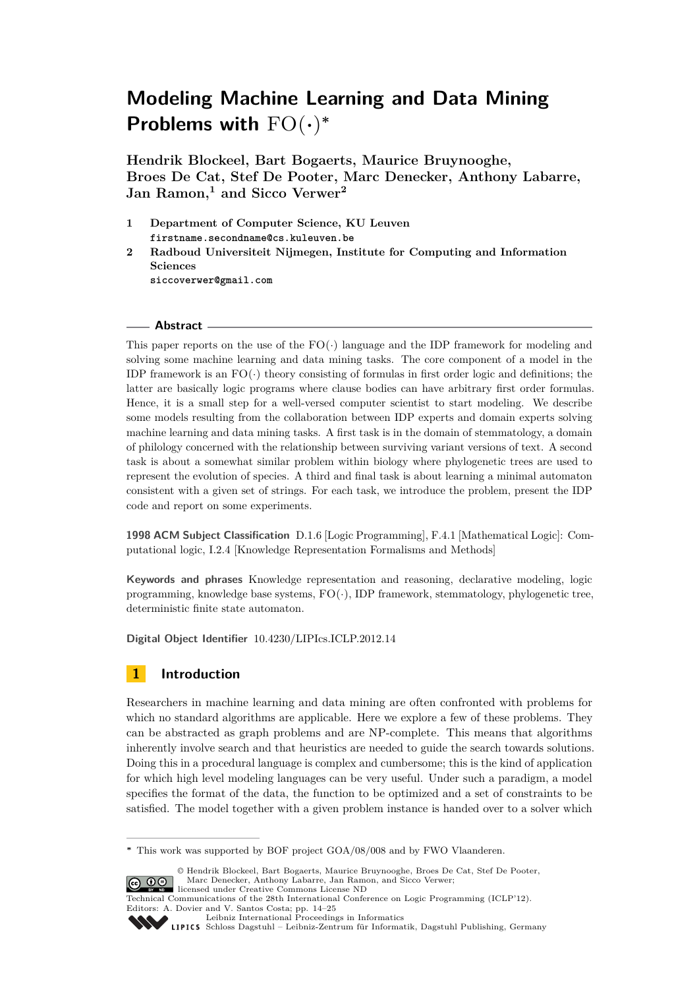**Hendrik Blockeel, Bart Bogaerts, Maurice Bruynooghe, Broes De Cat, Stef De Pooter, Marc Denecker, Anthony Labarre, Jan Ramon,<sup>1</sup> and Sicco Verwer<sup>2</sup>**

- **1 Department of Computer Science, KU Leuven firstname.secondname@cs.kuleuven.be**
- **2 Radboud Universiteit Nijmegen, Institute for Computing and Information Sciences siccoverwer@gmail.com**

### **Abstract**

This paper reports on the use of the  $FO(\cdot)$  language and the IDP framework for modeling and solving some machine learning and data mining tasks. The core component of a model in the IDP framework is an  $FO(\cdot)$  theory consisting of formulas in first order logic and definitions; the latter are basically logic programs where clause bodies can have arbitrary first order formulas. Hence, it is a small step for a well-versed computer scientist to start modeling. We describe some models resulting from the collaboration between IDP experts and domain experts solving machine learning and data mining tasks. A first task is in the domain of stemmatology, a domain of philology concerned with the relationship between surviving variant versions of text. A second task is about a somewhat similar problem within biology where phylogenetic trees are used to represent the evolution of species. A third and final task is about learning a minimal automaton consistent with a given set of strings. For each task, we introduce the problem, present the IDP code and report on some experiments.

**1998 ACM Subject Classification** D.1.6 [Logic Programming], F.4.1 [Mathematical Logic]: Computational logic, I.2.4 [Knowledge Representation Formalisms and Methods]

**Keywords and phrases** Knowledge representation and reasoning, declarative modeling, logic programming, knowledge base systems, FO(·), IDP framework, stemmatology, phylogenetic tree, deterministic finite state automaton.

**Digital Object Identifier** [10.4230/LIPIcs.ICLP.2012.14](http://dx.doi.org/10.4230/LIPIcs.ICLP.2012.14)

# **1 Introduction**

Researchers in machine learning and data mining are often confronted with problems for which no standard algorithms are applicable. Here we explore a few of these problems. They can be abstracted as graph problems and are NP-complete. This means that algorithms inherently involve search and that heuristics are needed to guide the search towards solutions. Doing this in a procedural language is complex and cumbersome; this is the kind of application for which high level modeling languages can be very useful. Under such a paradigm, a model specifies the format of the data, the function to be optimized and a set of constraints to be satisfied. The model together with a given problem instance is handed over to a solver which

Technical Communications of the 28th International Conference on Logic Programming (ICLP'12). Editors: A. Dovier and V. Santos Costa; pp. 14[–25](#page-11-0) [Leibniz International Proceedings in Informatics](http://www.dagstuhl.de/lipics/)



[Schloss Dagstuhl – Leibniz-Zentrum für Informatik, Dagstuhl Publishing, Germany](http://www.dagstuhl.de)

**<sup>∗</sup>** This work was supported by BOF project GOA/08/008 and by FWO Vlaanderen.

<sup>©</sup> Hendrik Blockeel, Bart Bogaerts, Maurice Bruynooghe, Broes De Cat, Stef De Pooter, Marc Denecker, Anthony Labarre, Jan Ramon, and Sicco Verwer; **CO O S** Marc Denecker, Anthony Labrarction License ND<br>licensed under Creative Commons License ND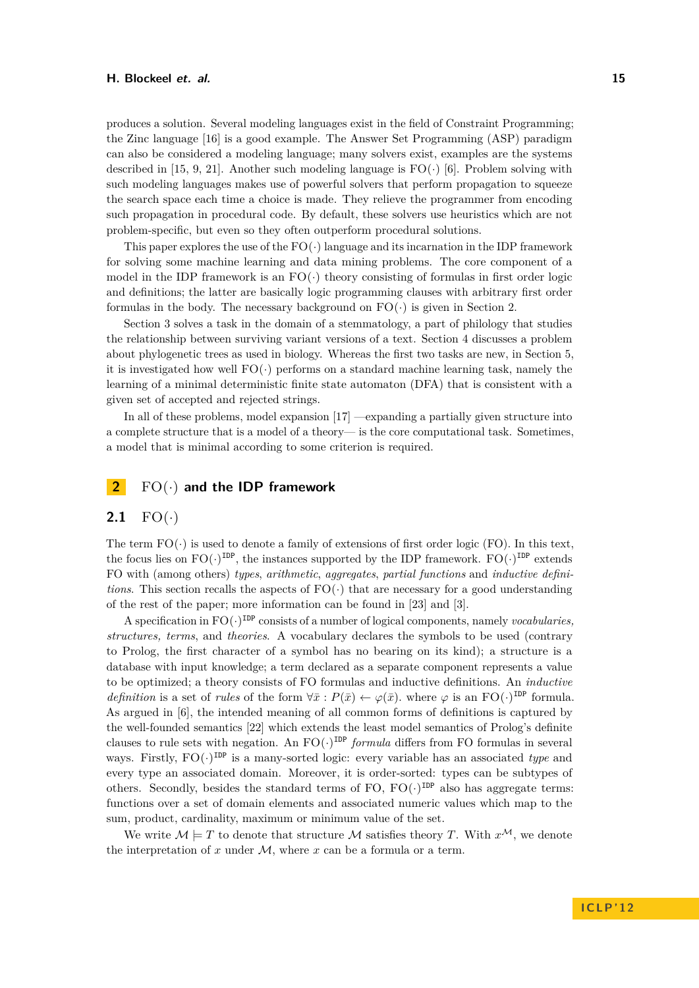produces a solution. Several modeling languages exist in the field of Constraint Programming; the Zinc language [\[16\]](#page-10-0) is a good example. The Answer Set Programming (ASP) paradigm can also be considered a modeling language; many solvers exist, examples are the systems described in [\[15,](#page-10-1) [9,](#page-10-2) [21\]](#page-11-1). Another such modeling language is  $FO(\cdot)$  [\[6\]](#page-10-3). Problem solving with such modeling languages makes use of powerful solvers that perform propagation to squeeze the search space each time a choice is made. They relieve the programmer from encoding such propagation in procedural code. By default, these solvers use heuristics which are not problem-specific, but even so they often outperform procedural solutions.

This paper explores the use of the  $FO(\cdot)$  language and its incarnation in the IDP framework for solving some machine learning and data mining problems. The core component of a model in the IDP framework is an  $FO(\cdot)$  theory consisting of formulas in first order logic and definitions; the latter are basically logic programming clauses with arbitrary first order formulas in the body. The necessary background on  $FO(\cdot)$  is given in Section [2.](#page-1-0)

Section [3](#page-2-0) solves a task in the domain of a stemmatology, a part of philology that studies the relationship between surviving variant versions of a text. Section [4](#page-4-0) discusses a problem about phylogenetic trees as used in biology. Whereas the first two tasks are new, in Section [5,](#page-6-0) it is investigated how well  $FO(\cdot)$  performs on a standard machine learning task, namely the learning of a minimal deterministic finite state automaton (DFA) that is consistent with a given set of accepted and rejected strings.

In all of these problems, model expansion [\[17\]](#page-10-4) —expanding a partially given structure into a complete structure that is a model of a theory— is the core computational task. Sometimes, a model that is minimal according to some criterion is required.

## <span id="page-1-0"></span>**2** FO(·) **and the IDP framework**

### **2.1**  $FO(\cdot)$

The term  $FO(\cdot)$  is used to denote a family of extensions of first order logic (FO). In this text, the focus lies on  $FO(\cdot)^{\text{IDP}}$ , the instances supported by the IDP framework.  $FO(\cdot)^{\text{IDP}}$  extends FO with (among others) *types*, *arithmetic*, *aggregates*, *partial functions* and *inductive definitions*. This section recalls the aspects of  $FO(\cdot)$  that are necessary for a good understanding of the rest of the paper; more information can be found in [\[23\]](#page-11-2) and [\[3\]](#page-10-5).

A specification in  $FO(\cdot)^{\text{IDP}}$  consists of a number of logical components, namely *vocabularies*, *structures, terms*, and *theories*. A vocabulary declares the symbols to be used (contrary to Prolog, the first character of a symbol has no bearing on its kind); a structure is a database with input knowledge; a term declared as a separate component represents a value to be optimized; a theory consists of FO formulas and inductive definitions. An *inductive definition* is a set of *rules* of the form  $\forall \bar{x}: P(\bar{x}) \leftarrow \varphi(\bar{x})$ *.* where  $\varphi$  is an FO(·)<sup>IDP</sup> formula. As argued in [\[6\]](#page-10-3), the intended meaning of all common forms of definitions is captured by the well-founded semantics [\[22\]](#page-11-3) which extends the least model semantics of Prolog's definite clauses to rule sets with negation. An  $FO(\cdot)^{\text{IDP}}$  *formula* differs from FO formulas in several ways. Firstly,  $FO(\cdot)^{\text{IDP}}$  is a many-sorted logic: every variable has an associated *type* and every type an associated domain. Moreover, it is order-sorted: types can be subtypes of others. Secondly, besides the standard terms of FO,  $FO(\cdot)^{\text{IDP}}$  also has aggregate terms: functions over a set of domain elements and associated numeric values which map to the sum, product, cardinality, maximum or minimum value of the set.

We write  $M \models T$  to denote that structure M satisfies theory *T*. With  $x^{\mathcal{M}}$ , we denote the interpretation of  $x$  under  $M$ , where  $x$  can be a formula or a term.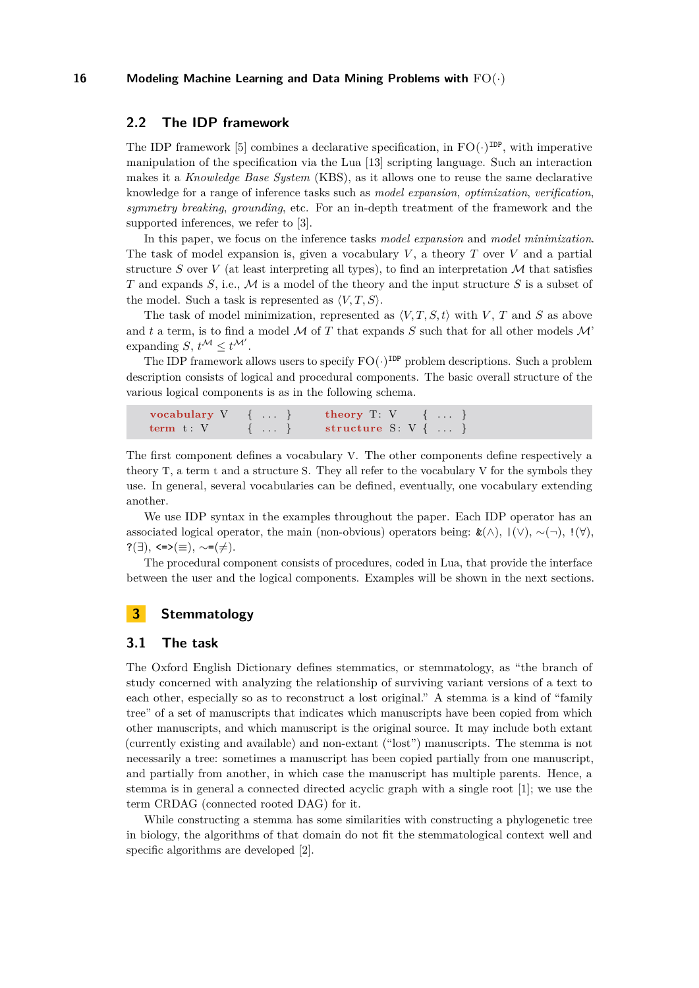### **2.2 The IDP framework**

The IDP framework [\[5\]](#page-10-6) combines a declarative specification, in  $FO(\cdot)^{\text{IDP}}$ , with imperative manipulation of the specification via the Lua [\[13\]](#page-10-7) scripting language. Such an interaction makes it a *Knowledge Base System* (KBS), as it allows one to reuse the same declarative knowledge for a range of inference tasks such as *model expansion*, *optimization*, *verification*, *symmetry breaking*, *grounding*, etc. For an in-depth treatment of the framework and the supported inferences, we refer to [\[3\]](#page-10-5).

In this paper, we focus on the inference tasks *model expansion* and *model minimization*. The task of model expansion is, given a vocabulary *V* , a theory *T* over *V* and a partial structure *S* over *V* (at least interpreting all types), to find an interpretation  $M$  that satisfies *T* and expands *S*, i.e., M is a model of the theory and the input structure *S* is a subset of the model. Such a task is represented as  $\langle V, T, S \rangle$ .

The task of model minimization, represented as  $\langle V, T, S, t \rangle$  with *V*, *T* and *S* as above and  $t$  a term, is to find a model  $M$  of  $T$  that expands  $S$  such that for all other models  $M$ <sup>\*</sup> expanding  $S, t^{\mathcal{M}} \leq t^{\mathcal{M}'}$ .

The IDP framework allows users to specify  $FO(\cdot)^{\text{IDP}}$  problem descriptions. Such a problem description consists of logical and procedural components. The basic overall structure of the various logical components is as in the following schema.

```
vocabulary V \{ ... \} theory T: V \{ ... \}term t: V { ... } structure S: V { ...
```
The first component defines a vocabulary V. The other components define respectively a theory T, a term t and a structure S. They all refer to the vocabulary V for the symbols they use. In general, several vocabularies can be defined, eventually, one vocabulary extending another.

We use IDP syntax in the examples throughout the paper. Each IDP operator has an associated logical operator, the main (non-obvious) operators being:  $\&(\wedge), (\vee), \sim(\neg), !(\forall)$ ,  $?(\exists)$ , <=> $(\equiv)$ ,  $\sim=(\neq)$ .

The procedural component consists of procedures, coded in Lua, that provide the interface between the user and the logical components. Examples will be shown in the next sections.

# <span id="page-2-0"></span>**3 Stemmatology**

#### **3.1 The task**

The Oxford English Dictionary defines stemmatics, or stemmatology, as "the branch of study concerned with analyzing the relationship of surviving variant versions of a text to each other, especially so as to reconstruct a lost original." A stemma is a kind of "family tree" of a set of manuscripts that indicates which manuscripts have been copied from which other manuscripts, and which manuscript is the original source. It may include both extant (currently existing and available) and non-extant ("lost") manuscripts. The stemma is not necessarily a tree: sometimes a manuscript has been copied partially from one manuscript, and partially from another, in which case the manuscript has multiple parents. Hence, a stemma is in general a connected directed acyclic graph with a single root [\[1\]](#page-10-8); we use the term CRDAG (connected rooted DAG) for it.

While constructing a stemma has some similarities with constructing a phylogenetic tree in biology, the algorithms of that domain do not fit the stemmatological context well and specific algorithms are developed [\[2\]](#page-10-9).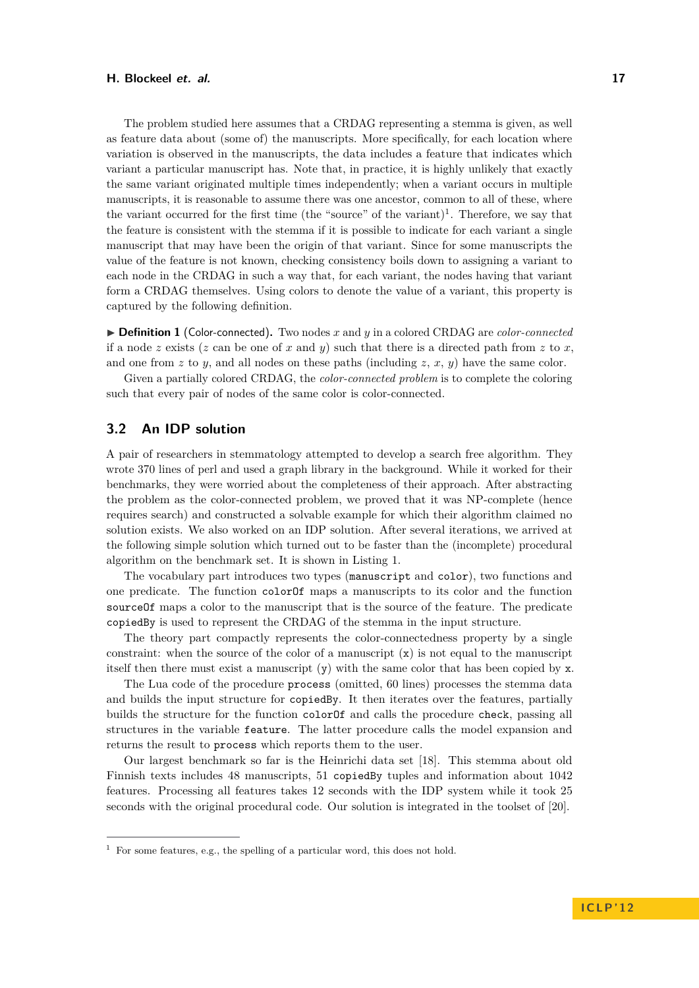The problem studied here assumes that a CRDAG representing a stemma is given, as well as feature data about (some of) the manuscripts. More specifically, for each location where variation is observed in the manuscripts, the data includes a feature that indicates which variant a particular manuscript has. Note that, in practice, it is highly unlikely that exactly the same variant originated multiple times independently; when a variant occurs in multiple manuscripts, it is reasonable to assume there was one ancestor, common to all of these, where the variant occurred for the first time (the "source" of the variant)<sup>1</sup>. Therefore, we say that the feature is consistent with the stemma if it is possible to indicate for each variant a single manuscript that may have been the origin of that variant. Since for some manuscripts the value of the feature is not known, checking consistency boils down to assigning a variant to each node in the CRDAG in such a way that, for each variant, the nodes having that variant form a CRDAG themselves. Using colors to denote the value of a variant, this property is captured by the following definition.

▶ **Definition 1** (Color-connected). Two nodes *x* and *y* in a colored CRDAG are *color-connected* if a node *z* exists (*z* can be one of *x* and *y*) such that there is a directed path from *z* to *x*, and one from  $z$  to  $y$ , and all nodes on these paths (including  $z$ ,  $x$ ,  $y$ ) have the same color.

Given a partially colored CRDAG, the *color-connected problem* is to complete the coloring such that every pair of nodes of the same color is color-connected.

### **3.2 An IDP solution**

A pair of researchers in stemmatology attempted to develop a search free algorithm. They wrote 370 lines of perl and used a graph library in the background. While it worked for their benchmarks, they were worried about the completeness of their approach. After abstracting the problem as the color-connected problem, we proved that it was NP-complete (hence requires search) and constructed a solvable example for which their algorithm claimed no solution exists. We also worked on an IDP solution. After several iterations, we arrived at the following simple solution which turned out to be faster than the (incomplete) procedural algorithm on the benchmark set. It is shown in Listing [1.](#page-4-1)

The vocabulary part introduces two types (manuscript and color), two functions and one predicate. The function colorOf maps a manuscripts to its color and the function sourceOf maps a color to the manuscript that is the source of the feature. The predicate copiedBy is used to represent the CRDAG of the stemma in the input structure.

The theory part compactly represents the color-connectedness property by a single constraint: when the source of the color of a manuscript  $(x)$  is not equal to the manuscript itself then there must exist a manuscript (y) with the same color that has been copied by x.

The Lua code of the procedure process (omitted, 60 lines) processes the stemma data and builds the input structure for copiedBy. It then iterates over the features, partially builds the structure for the function colorOf and calls the procedure check, passing all structures in the variable feature. The latter procedure calls the model expansion and returns the result to process which reports them to the user.

Our largest benchmark so far is the Heinrichi data set [\[18\]](#page-10-10). This stemma about old Finnish texts includes 48 manuscripts, 51 copiedBy tuples and information about 1042 features. Processing all features takes 12 seconds with the IDP system while it took 25 seconds with the original procedural code. Our solution is integrated in the toolset of [\[20\]](#page-10-11).

 $1$  For some features, e.g., the spelling of a particular word, this does not hold.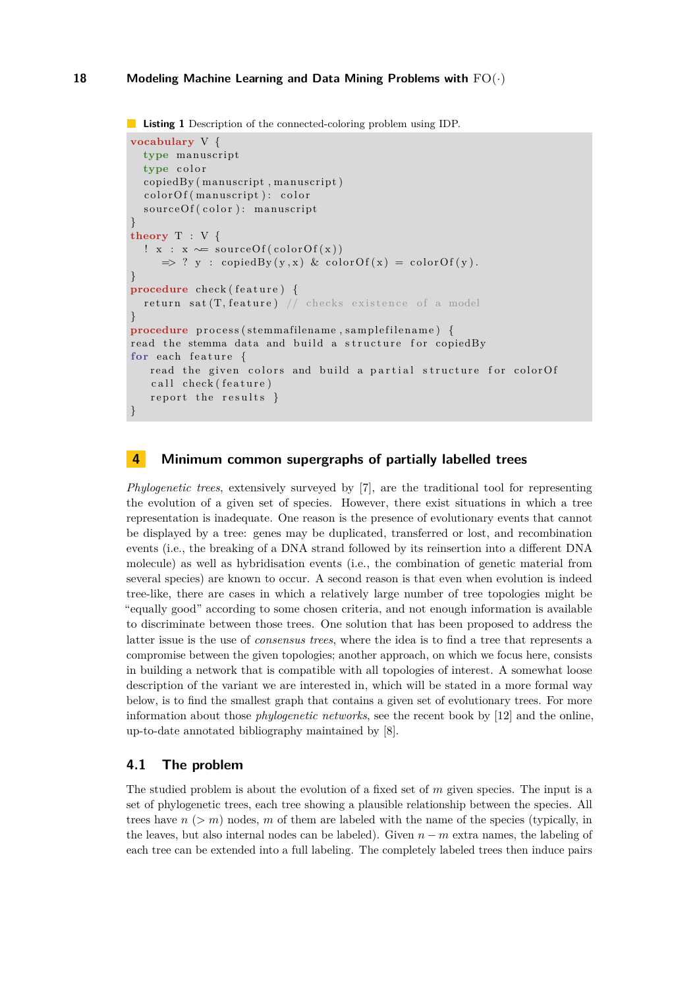```
Listing 1 Description of the connected-coloring problem using IDP.
```

```
vocabulary V {
  type manuscript
  type color
  copiedBy (manuscript, manuscript)
  colorOf (manuscript): color
  sourceOf(color): manuscript
}
theory T : V {
  ! x : x \sim = sourceOf(colorOf(x))\Rightarrow ? y : copiedBy(y,x) & colorOf(x) = colorOf(y).
}
procedure check (feature) {
  return sat (T, feature) // checks existence of a model
}
procedure process (stemmafilename, samplefilename) {
read the stemma data and build a structure for copiedBy
for each feature {
   read the given colors and build a partial structure for colorOf
   call check (feature)
   report the results \}}
```
# <span id="page-4-0"></span>**4 Minimum common supergraphs of partially labelled trees**

*Phylogenetic trees*, extensively surveyed by [\[7\]](#page-10-12), are the traditional tool for representing the evolution of a given set of species. However, there exist situations in which a tree representation is inadequate. One reason is the presence of evolutionary events that cannot be displayed by a tree: genes may be duplicated, transferred or lost, and recombination events (i.e., the breaking of a DNA strand followed by its reinsertion into a different DNA molecule) as well as hybridisation events (i.e., the combination of genetic material from several species) are known to occur. A second reason is that even when evolution is indeed tree-like, there are cases in which a relatively large number of tree topologies might be "equally good" according to some chosen criteria, and not enough information is available to discriminate between those trees. One solution that has been proposed to address the latter issue is the use of *consensus trees*, where the idea is to find a tree that represents a compromise between the given topologies; another approach, on which we focus here, consists in building a network that is compatible with all topologies of interest. A somewhat loose description of the variant we are interested in, which will be stated in a more formal way below, is to find the smallest graph that contains a given set of evolutionary trees. For more information about those *phylogenetic networks*, see the recent book by [\[12\]](#page-10-13) and the online, up-to-date annotated bibliography maintained by [\[8\]](#page-10-14).

# **4.1 The problem**

The studied problem is about the evolution of a fixed set of *m* given species. The input is a set of phylogenetic trees, each tree showing a plausible relationship between the species. All trees have  $n > m$ ) nodes,  $m$  of them are labeled with the name of the species (typically, in the leaves, but also internal nodes can be labeled). Given *n* − *m* extra names, the labeling of each tree can be extended into a full labeling. The completely labeled trees then induce pairs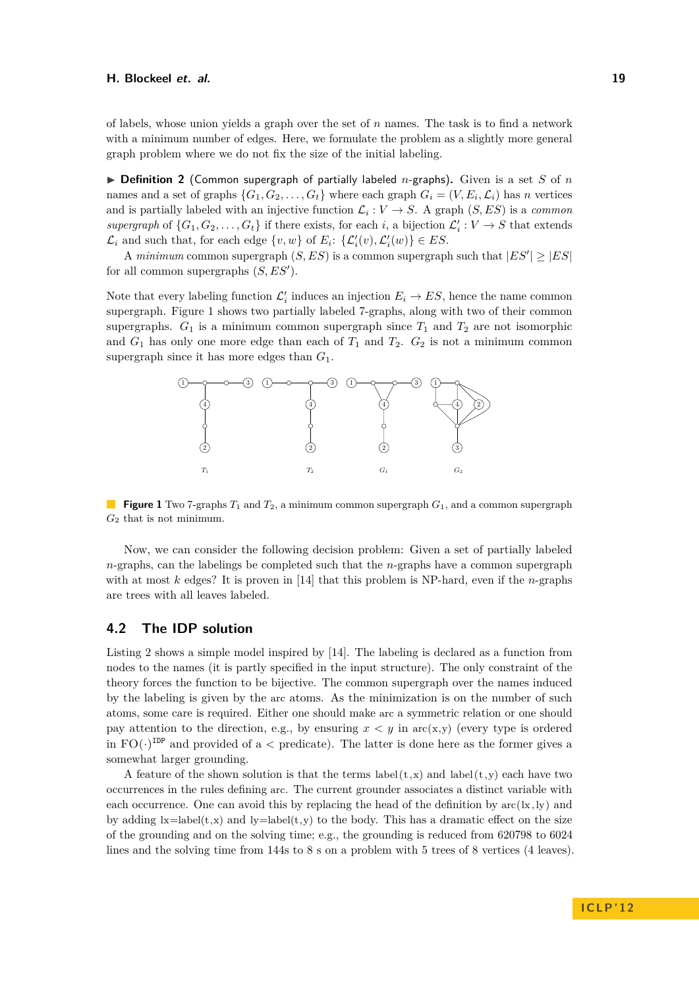of labels, whose union yields a graph over the set of *n* names. The task is to find a network with a minimum number of edges. Here, we formulate the problem as a slightly more general graph problem where we do not fix the size of the initial labeling.

 $\triangleright$  **Definition 2** (Common supergraph of partially labeled *n*-graphs). Given is a set *S* of *n* names and a set of graphs  $\{G_1, G_2, \ldots, G_t\}$  where each graph  $G_i = (V, E_i, \mathcal{L}_i)$  has *n* vertices and is partially labeled with an injective function  $\mathcal{L}_i: V \to S$ . A graph  $(S, ES)$  is a *common* supergraph of  $\{G_1, G_2, \ldots, G_t\}$  if there exists, for each *i*, a bijection  $\mathcal{L}'_i : V \to S$  that extends  $\mathcal{L}_i$  and such that, for each edge  $\{v, w\}$  of  $E_i$ :  $\{\mathcal{L}'_i(v), \mathcal{L}'_i(w)\} \in ES$ .

A *minimum* common supergraph  $(S, ES)$  is a common supergraph such that  $|ES'| \geq |ES|$ for all common supergraphs  $(S, ES')$ .

Note that every labeling function  $\mathcal{L}'_i$  induces an injection  $E_i \to ES$ , hence the name common supergraph. Figure [1](#page-5-0) shows two partially labeled 7-graphs, along with two of their common supergraphs.  $G_1$  is a minimum common supergraph since  $T_1$  and  $T_2$  are not isomorphic and  $G_1$  has only one more edge than each of  $T_1$  and  $T_2$ .  $G_2$  is not a minimum common supergraph since it has more edges than *G*1.

<span id="page-5-0"></span>

**Figure 1** Two 7-graphs *T*<sup>1</sup> and *T*2, a minimum common supergraph *G*1, and a common supergraph *G*<sup>2</sup> that is not minimum.

Now, we can consider the following decision problem: Given a set of partially labeled *n*-graphs, can the labelings be completed such that the *n*-graphs have a common supergraph with at most *k* edges? It is proven in [\[14\]](#page-10-15) that this problem is NP-hard, even if the *n*-graphs are trees with all leaves labeled.

# **4.2 The IDP solution**

Listing [2](#page-6-1) shows a simple model inspired by [\[14\]](#page-10-15). The labeling is declared as a function from nodes to the names (it is partly specified in the input structure). The only constraint of the theory forces the function to be bijective. The common supergraph over the names induced by the labeling is given by the arc atoms. As the minimization is on the number of such atoms, some care is required. Either one should make arc a symmetric relation or one should pay attention to the direction, e.g., by ensuring  $x < y$  in  $\arctan(x, y)$  (every type is ordered in  $FO(\cdot)^{\text{IDP}}$  and provided of a < predicate). The latter is done here as the former gives a somewhat larger grounding.

A feature of the shown solution is that the terms  $label(t,x)$  and  $label(t,y)$  each have two occurrences in the rules defining arc. The current grounder associates a distinct variable with each occurrence. One can avoid this by replacing the head of the definition by  $\text{arc}(k,ly)$  and by adding  $\mathbf{k}=\text{label}(t,x)$  and  $\mathbf{k}=\text{label}(t,y)$  to the body. This has a dramatic effect on the size of the grounding and on the solving time; e.g., the grounding is reduced from 620798 to 6024 lines and the solving time from 144s to 8 s on a problem with 5 trees of 8 vertices (4 leaves).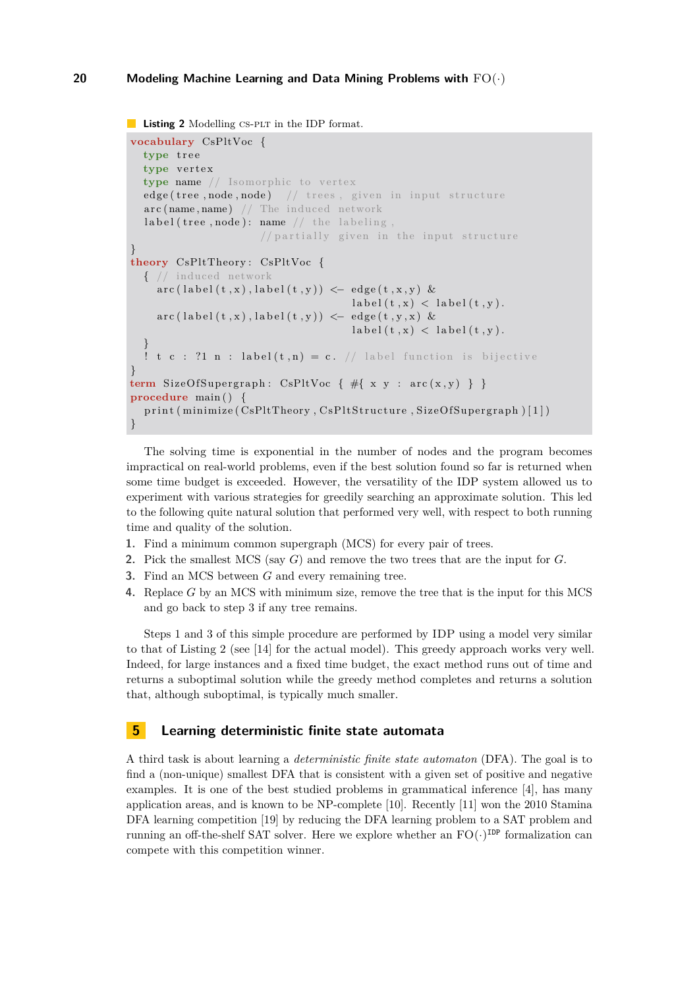```
Listing 2 Modelling CS-PLT in the IDP format.
```

```
vocabulary CsPltVoc {
  type tree
  type vertex
  type name // Isomorphic to vertex
  edge (tree, node, node) // trees, given in input structure
  \texttt{arc}(\texttt{name}, \texttt{name}) // The induced network
  label (tree, node): name // the labeling,
                          // partially given in the input structure
}
theory CsPltTheory : CsPltVoc {
  { // induced network
     \arctan(\text{label}(t, x), \text{label}(t, y)) \leq -\text{edge}(t, x, y) &
                                             \text{label}(t, x) < \text{label}(t, y).
     \texttt{arc}(\texttt{label}(t\,,x)\,,\texttt{label}(t\,,y))\, \leftarrow\, \texttt{edge}(\,t\,,y\,,x)\, \, \& \,\text{label}(t, x) < \text{label}(t, y).
   }
  ! t c : ?1 n : label (t, n) = c. // label function is bijective
}
term SizeOfSupergraph: CsPltVoc \{ # \{ x \ y : \ arc(x, y) \} \}procedure main ( ) {
  print (minimize (CsPltTheory, CsPltStructure, SizeOfSupergraph) [1])
}
```
The solving time is exponential in the number of nodes and the program becomes impractical on real-world problems, even if the best solution found so far is returned when some time budget is exceeded. However, the versatility of the IDP system allowed us to experiment with various strategies for greedily searching an approximate solution. This led to the following quite natural solution that performed very well, with respect to both running time and quality of the solution.

- **1.** Find a minimum common supergraph (MCS) for every pair of trees.
- **2.** Pick the smallest MCS (say *G*) and remove the two trees that are the input for *G*.
- **3.** Find an MCS between *G* and every remaining tree.
- **4.** Replace *G* by an MCS with minimum size, remove the tree that is the input for this MCS and go back to step 3 if any tree remains.

Steps 1 and 3 of this simple procedure are performed by IDP using a model very similar to that of Listing [2](#page-6-1) (see [\[14\]](#page-10-15) for the actual model). This greedy approach works very well. Indeed, for large instances and a fixed time budget, the exact method runs out of time and returns a suboptimal solution while the greedy method completes and returns a solution that, although suboptimal, is typically much smaller.

# <span id="page-6-0"></span>**5 Learning deterministic finite state automata**

A third task is about learning a *deterministic finite state automaton* (DFA). The goal is to find a (non-unique) smallest DFA that is consistent with a given set of positive and negative examples. It is one of the best studied problems in grammatical inference [\[4\]](#page-10-16), has many application areas, and is known to be NP-complete [\[10\]](#page-10-17). Recently [\[11\]](#page-10-18) won the 2010 Stamina DFA learning competition [\[19\]](#page-10-19) by reducing the DFA learning problem to a SAT problem and running an off-the-shelf SAT solver. Here we explore whether an  $FO(\cdot)^{\text{IDP}}$  formalization can compete with this competition winner.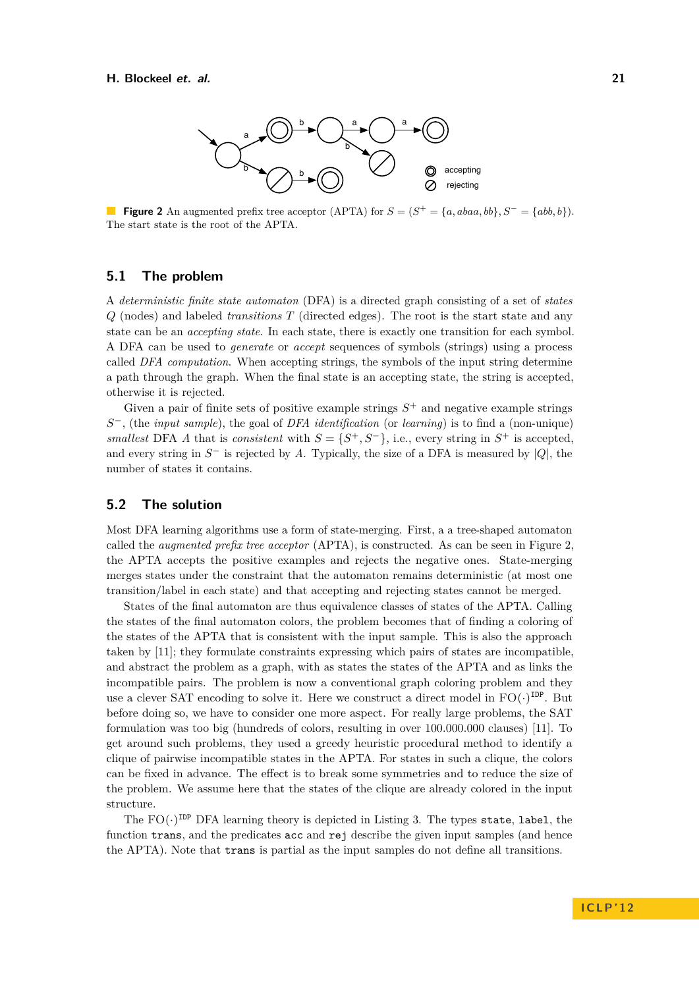<span id="page-7-0"></span>

**Figure 2** An augmented prefix tree acceptor (APTA) for  $S = (S^+ = \{a, abaa, bb\}, S^- = \{abb, b\})$ . The start state is the root of the APTA.

### **5.1 The problem**

A *deterministic finite state automaton* (DFA) is a directed graph consisting of a set of *states Q* (nodes) and labeled *transitions T* (directed edges). The root is the start state and any state can be an *accepting state*. In each state, there is exactly one transition for each symbol. A DFA can be used to *generate* or *accept* sequences of symbols (strings) using a process called *DFA computation*. When accepting strings, the symbols of the input string determine a path through the graph. When the final state is an accepting state, the string is accepted, otherwise it is rejected.

Given a pair of finite sets of positive example strings  $S<sup>+</sup>$  and negative example strings *S* <sup>−</sup>, (the *input sample*), the goal of *DFA identification* (or *learning*) is to find a (non-unique) *smallest* DFA *A* that is *consistent* with  $S = \{S^+, S^-\}$ , i.e., every string in  $S^+$  is accepted, and every string in  $S^-$  is rejected by A. Typically, the size of a DFA is measured by  $|Q|$ , the number of states it contains.

### **5.2 The solution**

Most DFA learning algorithms use a form of state-merging. First, a a tree-shaped automaton called the *augmented prefix tree acceptor* (APTA), is constructed. As can be seen in Figure [2,](#page-7-0) the APTA accepts the positive examples and rejects the negative ones. State-merging merges states under the constraint that the automaton remains deterministic (at most one transition/label in each state) and that accepting and rejecting states cannot be merged.

States of the final automaton are thus equivalence classes of states of the APTA. Calling the states of the final automaton colors, the problem becomes that of finding a coloring of the states of the APTA that is consistent with the input sample. This is also the approach taken by [\[11\]](#page-10-18); they formulate constraints expressing which pairs of states are incompatible, and abstract the problem as a graph, with as states the states of the APTA and as links the incompatible pairs. The problem is now a conventional graph coloring problem and they use a clever SAT encoding to solve it. Here we construct a direct model in  $FO(\cdot)^{\text{IDP}}$ . But before doing so, we have to consider one more aspect. For really large problems, the SAT formulation was too big (hundreds of colors, resulting in over 100.000.000 clauses) [\[11\]](#page-10-18). To get around such problems, they used a greedy heuristic procedural method to identify a clique of pairwise incompatible states in the APTA. For states in such a clique, the colors can be fixed in advance. The effect is to break some symmetries and to reduce the size of the problem. We assume here that the states of the clique are already colored in the input structure.

The  $FO(\cdot)^{\texttt{IDP}}$  DFA learning theory is depicted in Listing [3.](#page-8-0) The types state, label, the function trans, and the predicates acc and rej describe the given input samples (and hence the APTA). Note that trans is partial as the input samples do not define all transitions.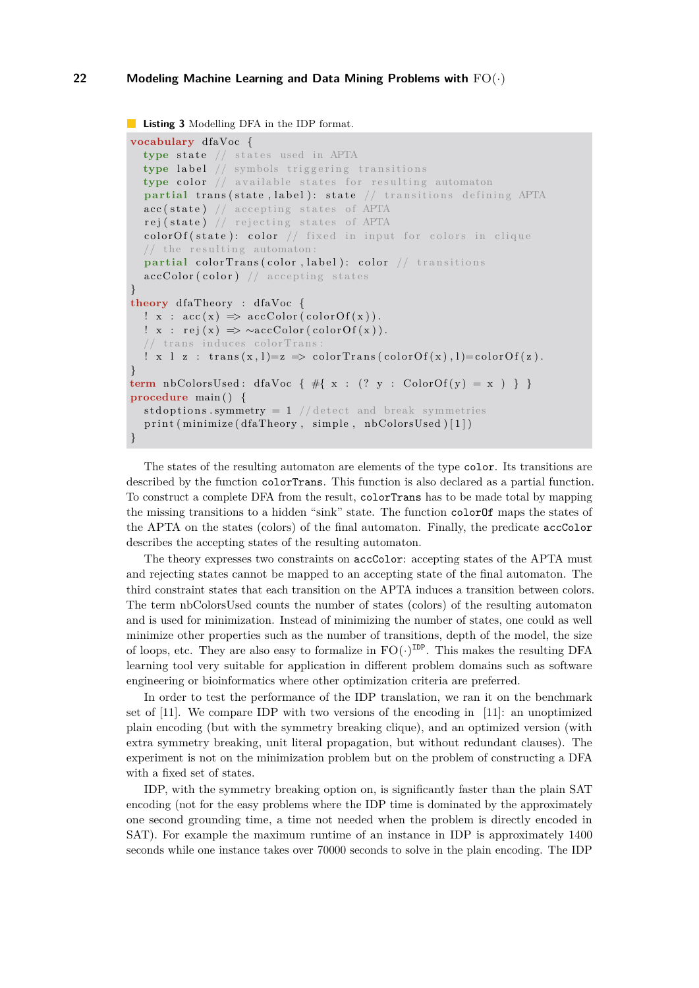<span id="page-8-0"></span>**Listing 3** Modelling DFA in the IDP format.

}

```
vocabulary dfaVoc {
  type state // states used in APTA
  type label // symbols triggering transitions
  type color // available states for resulting automaton
  partial trans(state, label): state // transitions defining APTA
  \texttt{acc}(\texttt{state}) // accepting states of APTA
  rej(state) // rejecting states of APTA
  colorOf(state): color // fixed in input for colors in clique/ the resulting automaton:
  partial colorTrans (color, label): color // transitions
  \texttt{accColor}(\texttt{color}) // accepting states
}
theory dfaTheory : dfaVoc {
  ! x : acc(x) \Rightarrow accColor(color(f(x)).
  ! x : \text{rej}(x) \Rightarrow \sim \text{accColor}(colorOf(x)).// trans induces colorTrans
  ! x \perp z : trans(x, 1)=z \implies colorTrans(colorOf(x), 1)=colorOf(z).
}
term nbColorsUsed: dfaVoc { #{ x : (? y : ColorOf(y) = x ) } }
procedure main ( ) {
  st doptions. symmetry = 1 // detect and break symmetries
  print (minimize (dfaTheory, simple, nbColorsUsed) [1])
```
The states of the resulting automaton are elements of the type color. Its transitions are described by the function colorTrans. This function is also declared as a partial function. To construct a complete DFA from the result, colorTrans has to be made total by mapping the missing transitions to a hidden "sink" state. The function colorOf maps the states of the APTA on the states (colors) of the final automaton. Finally, the predicate accColor describes the accepting states of the resulting automaton.

The theory expresses two constraints on accColor: accepting states of the APTA must and rejecting states cannot be mapped to an accepting state of the final automaton. The third constraint states that each transition on the APTA induces a transition between colors. The term nbColorsUsed counts the number of states (colors) of the resulting automaton and is used for minimization. Instead of minimizing the number of states, one could as well minimize other properties such as the number of transitions, depth of the model, the size of loops, etc. They are also easy to formalize in  $FO(\cdot)^{\text{IDP}}$ . This makes the resulting DFA learning tool very suitable for application in different problem domains such as software engineering or bioinformatics where other optimization criteria are preferred.

In order to test the performance of the IDP translation, we ran it on the benchmark set of [\[11\]](#page-10-18). We compare IDP with two versions of the encoding in [\[11\]](#page-10-18): an unoptimized plain encoding (but with the symmetry breaking clique), and an optimized version (with extra symmetry breaking, unit literal propagation, but without redundant clauses). The experiment is not on the minimization problem but on the problem of constructing a DFA with a fixed set of states.

IDP, with the symmetry breaking option on, is significantly faster than the plain SAT encoding (not for the easy problems where the IDP time is dominated by the approximately one second grounding time, a time not needed when the problem is directly encoded in SAT). For example the maximum runtime of an instance in IDP is approximately 1400 seconds while one instance takes over 70000 seconds to solve in the plain encoding. The IDP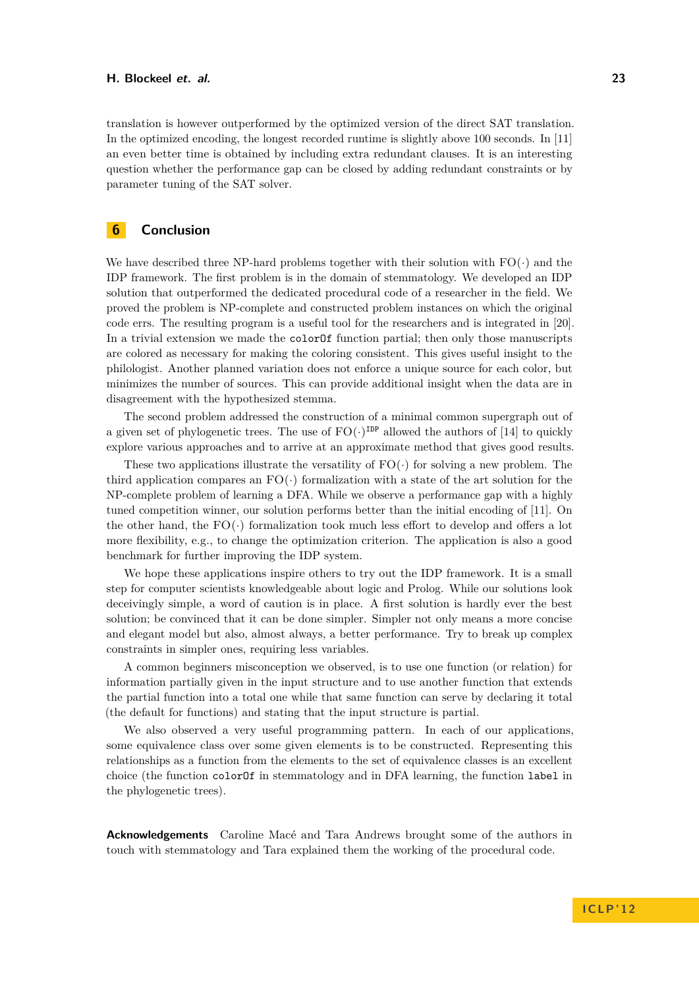translation is however outperformed by the optimized version of the direct SAT translation. In the optimized encoding, the longest recorded runtime is slightly above 100 seconds. In [\[11\]](#page-10-18) an even better time is obtained by including extra redundant clauses. It is an interesting question whether the performance gap can be closed by adding redundant constraints or by parameter tuning of the SAT solver.

# **6 Conclusion**

We have described three NP-hard problems together with their solution with  $FO(\cdot)$  and the IDP framework. The first problem is in the domain of stemmatology. We developed an IDP solution that outperformed the dedicated procedural code of a researcher in the field. We proved the problem is NP-complete and constructed problem instances on which the original code errs. The resulting program is a useful tool for the researchers and is integrated in [\[20\]](#page-10-11). In a trivial extension we made the colorOf function partial; then only those manuscripts are colored as necessary for making the coloring consistent. This gives useful insight to the philologist. Another planned variation does not enforce a unique source for each color, but minimizes the number of sources. This can provide additional insight when the data are in disagreement with the hypothesized stemma.

The second problem addressed the construction of a minimal common supergraph out of a given set of phylogenetic trees. The use of  $FO(\cdot)^{\text{IDP}}$  allowed the authors of [\[14\]](#page-10-15) to quickly explore various approaches and to arrive at an approximate method that gives good results.

These two applications illustrate the versatility of  $FO(\cdot)$  for solving a new problem. The third application compares an  $FO(\cdot)$  formalization with a state of the art solution for the NP-complete problem of learning a DFA. While we observe a performance gap with a highly tuned competition winner, our solution performs better than the initial encoding of [\[11\]](#page-10-18). On the other hand, the  $FO(\cdot)$  formalization took much less effort to develop and offers a lot more flexibility, e.g., to change the optimization criterion. The application is also a good benchmark for further improving the IDP system.

We hope these applications inspire others to try out the IDP framework. It is a small step for computer scientists knowledgeable about logic and Prolog. While our solutions look deceivingly simple, a word of caution is in place. A first solution is hardly ever the best solution; be convinced that it can be done simpler. Simpler not only means a more concise and elegant model but also, almost always, a better performance. Try to break up complex constraints in simpler ones, requiring less variables.

A common beginners misconception we observed, is to use one function (or relation) for information partially given in the input structure and to use another function that extends the partial function into a total one while that same function can serve by declaring it total (the default for functions) and stating that the input structure is partial.

We also observed a very useful programming pattern. In each of our applications, some equivalence class over some given elements is to be constructed. Representing this relationships as a function from the elements to the set of equivalence classes is an excellent choice (the function colorOf in stemmatology and in DFA learning, the function label in the phylogenetic trees).

**Acknowledgements** Caroline Macé and Tara Andrews brought some of the authors in touch with stemmatology and Tara explained them the working of the procedural code.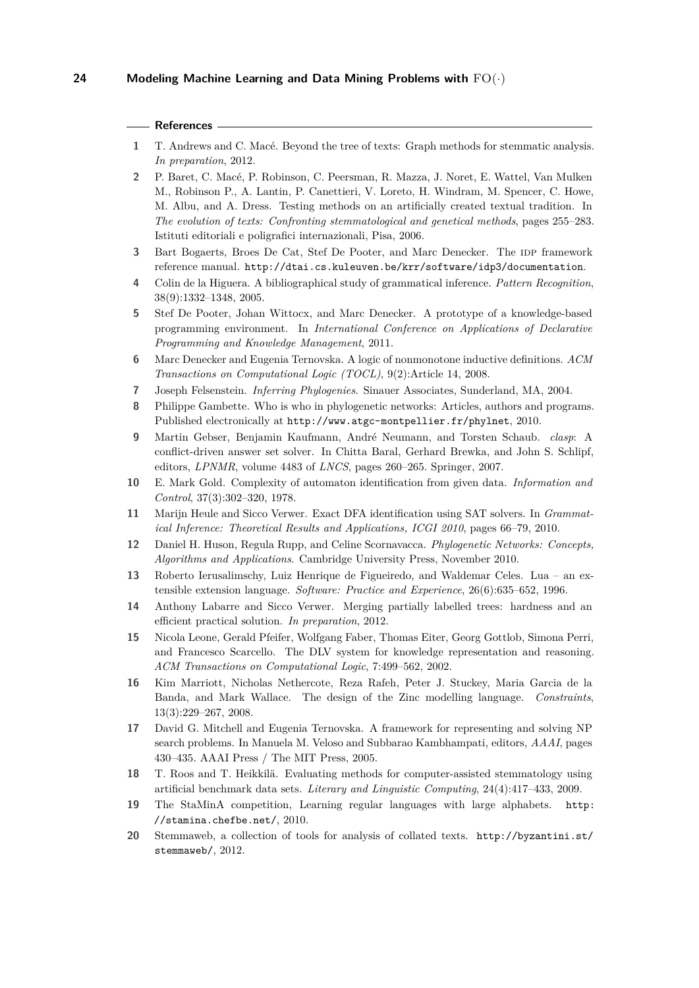### **References**

- <span id="page-10-8"></span>**1** T. Andrews and C. Macé. Beyond the tree of texts: Graph methods for stemmatic analysis. *In preparation*, 2012.
- <span id="page-10-9"></span>**2** P. Baret, C. Macé, P. Robinson, C. Peersman, R. Mazza, J. Noret, E. Wattel, Van Mulken M., Robinson P., A. Lantin, P. Canettieri, V. Loreto, H. Windram, M. Spencer, C. Howe, M. Albu, and A. Dress. Testing methods on an artificially created textual tradition. In *The evolution of texts: Confronting stemmatological and genetical methods*, pages 255–283. Istituti editoriali e poligrafici internazionali, Pisa, 2006.
- <span id="page-10-5"></span>**3** Bart Bogaerts, Broes De Cat, Stef De Pooter, and Marc Denecker. The IDP framework reference manual. <http://dtai.cs.kuleuven.be/krr/software/idp3/documentation>.
- <span id="page-10-16"></span>**4** Colin de la Higuera. A bibliographical study of grammatical inference. *Pattern Recognition*, 38(9):1332–1348, 2005.
- <span id="page-10-6"></span>**5** Stef De Pooter, Johan Wittocx, and Marc Denecker. A prototype of a knowledge-based programming environment. In *International Conference on Applications of Declarative Programming and Knowledge Management*, 2011.
- <span id="page-10-3"></span>**6** Marc Denecker and Eugenia Ternovska. A logic of nonmonotone inductive definitions. *ACM Transactions on Computational Logic (TOCL)*, 9(2):Article 14, 2008.
- <span id="page-10-12"></span>**7** Joseph Felsenstein. *Inferring Phylogenies*. Sinauer Associates, Sunderland, MA, 2004.
- <span id="page-10-14"></span>**8** Philippe Gambette. Who is who in phylogenetic networks: Articles, authors and programs. Published electronically at <http://www.atgc-montpellier.fr/phylnet>, 2010.
- <span id="page-10-2"></span>**9** Martin Gebser, Benjamin Kaufmann, André Neumann, and Torsten Schaub. *clasp*: A conflict-driven answer set solver. In Chitta Baral, Gerhard Brewka, and John S. Schlipf, editors, *LPNMR*, volume 4483 of *LNCS*, pages 260–265. Springer, 2007.
- <span id="page-10-17"></span>**10** E. Mark Gold. Complexity of automaton identification from given data. *Information and Control*, 37(3):302–320, 1978.
- <span id="page-10-18"></span>**11** Marijn Heule and Sicco Verwer. Exact DFA identification using SAT solvers. In *Grammatical Inference: Theoretical Results and Applications, ICGI 2010*, pages 66–79, 2010.
- <span id="page-10-13"></span>**12** Daniel H. Huson, Regula Rupp, and Celine Scornavacca. *Phylogenetic Networks: Concepts, Algorithms and Applications*. Cambridge University Press, November 2010.
- <span id="page-10-7"></span>**13** Roberto Ierusalimschy, Luiz Henrique de Figueiredo, and Waldemar Celes. Lua – an extensible extension language. *Software: Practice and Experience*, 26(6):635–652, 1996.
- <span id="page-10-15"></span>**14** Anthony Labarre and Sicco Verwer. Merging partially labelled trees: hardness and an efficient practical solution. *In preparation*, 2012.
- <span id="page-10-1"></span>**15** Nicola Leone, Gerald Pfeifer, Wolfgang Faber, Thomas Eiter, Georg Gottlob, Simona Perri, and Francesco Scarcello. The DLV system for knowledge representation and reasoning. *ACM Transactions on Computational Logic*, 7:499–562, 2002.
- <span id="page-10-0"></span>**16** Kim Marriott, Nicholas Nethercote, Reza Rafeh, Peter J. Stuckey, Maria Garcia de la Banda, and Mark Wallace. The design of the Zinc modelling language. *Constraints*, 13(3):229–267, 2008.
- <span id="page-10-4"></span>**17** David G. Mitchell and Eugenia Ternovska. A framework for representing and solving NP search problems. In Manuela M. Veloso and Subbarao Kambhampati, editors, *AAAI*, pages 430–435. AAAI Press / The MIT Press, 2005.
- <span id="page-10-10"></span>**18** T. Roos and T. Heikkilä. Evaluating methods for computer-assisted stemmatology using artificial benchmark data sets. *Literary and Linguistic Computing*, 24(4):417–433, 2009.
- <span id="page-10-19"></span>**19** The StaMinA competition, Learning regular languages with large alphabets. [http:](http://stamina.chefbe.net/) [//stamina.chefbe.net/](http://stamina.chefbe.net/), 2010.
- <span id="page-10-11"></span>**20** Stemmaweb, a collection of tools for analysis of collated texts. [http://byzantini.st/](http://byzantini.st/stemmaweb/) [stemmaweb/](http://byzantini.st/stemmaweb/), 2012.